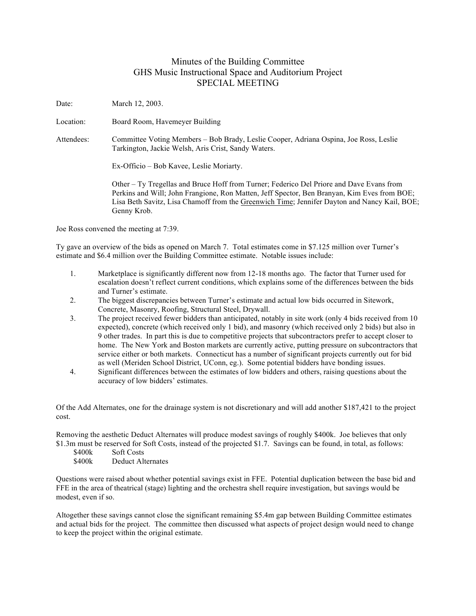## Minutes of the Building Committee GHS Music Instructional Space and Auditorium Project SPECIAL MEETING

Date: March 12, 2003.

Location: Board Room, Havemeyer Building

Attendees: Committee Voting Members – Bob Brady, Leslie Cooper, Adriana Ospina, Joe Ross, Leslie Tarkington, Jackie Welsh, Aris Crist, Sandy Waters.

Ex-Officio – Bob Kavee, Leslie Moriarty.

Other – Ty Tregellas and Bruce Hoff from Turner; Federico Del Priore and Dave Evans from Perkins and Will; John Frangione, Ron Matten, Jeff Spector, Ben Branyan, Kim Eves from BOE; Lisa Beth Savitz, Lisa Chamoff from the Greenwich Time; Jennifer Dayton and Nancy Kail, BOE; Genny Krob.

Joe Ross convened the meeting at 7:39.

Ty gave an overview of the bids as opened on March 7. Total estimates come in \$7.125 million over Turner's estimate and \$6.4 million over the Building Committee estimate. Notable issues include:

- 1. Marketplace is significantly different now from 12-18 months ago. The factor that Turner used for escalation doesn't reflect current conditions, which explains some of the differences between the bids and Turner's estimate.
- 2. The biggest discrepancies between Turner's estimate and actual low bids occurred in Sitework, Concrete, Masonry, Roofing, Structural Steel, Drywall.
- 3. The project received fewer bidders than anticipated, notably in site work (only 4 bids received from 10 expected), concrete (which received only 1 bid), and masonry (which received only 2 bids) but also in 9 other trades. In part this is due to competitive projects that subcontractors prefer to accept closer to home. The New York and Boston markets are currently active, putting pressure on subcontractors that service either or both markets. Connecticut has a number of significant projects currently out for bid as well (Meriden School District, UConn, eg.). Some potential bidders have bonding issues.
- 4. Significant differences between the estimates of low bidders and others, raising questions about the accuracy of low bidders' estimates.

Of the Add Alternates, one for the drainage system is not discretionary and will add another \$187,421 to the project cost.

Removing the aesthetic Deduct Alternates will produce modest savings of roughly \$400k. Joe believes that only \$1.3m must be reserved for Soft Costs, instead of the projected \$1.7. Savings can be found, in total, as follows:

- \$400k Soft Costs
- \$400k Deduct Alternates

Questions were raised about whether potential savings exist in FFE. Potential duplication between the base bid and FFE in the area of theatrical (stage) lighting and the orchestra shell require investigation, but savings would be modest, even if so.

Altogether these savings cannot close the significant remaining \$5.4m gap between Building Committee estimates and actual bids for the project. The committee then discussed what aspects of project design would need to change to keep the project within the original estimate.